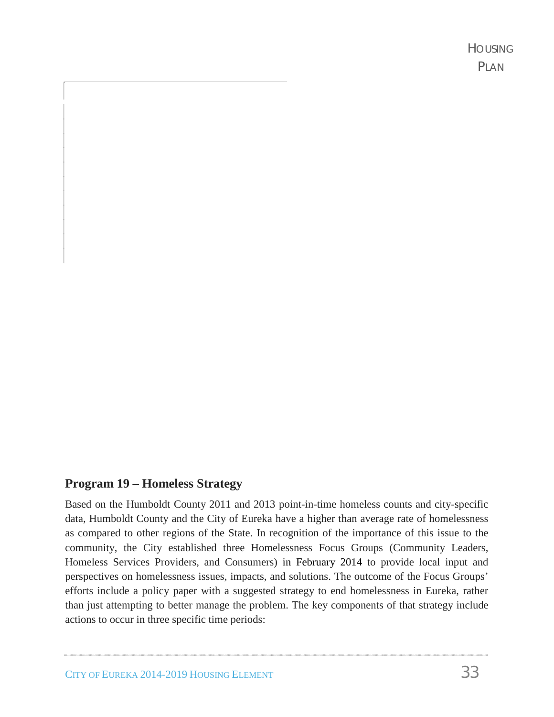#### **Program 19 – Homeless Strategy**

Based on the Humboldt County 2011 and 2013 point-in-time homeless counts and city-specific data, Humboldt County and the City of Eureka have a higher than average rate of homelessness as compared to other regions of the State. In recognition of the importance of this issue to the community, the City established three Homelessness Focus Groups (Community Leaders, Homeless Services Providers, and Consumers) in February 2014 to provide local input and perspectives on homelessness issues, impacts, and solutions. The outcome of the Focus Groups' efforts include a policy paper with a suggested strategy to end homelessness in Eureka, rather than just attempting to better manage the problem. The key components of that strategy include actions to occur in three specific time periods: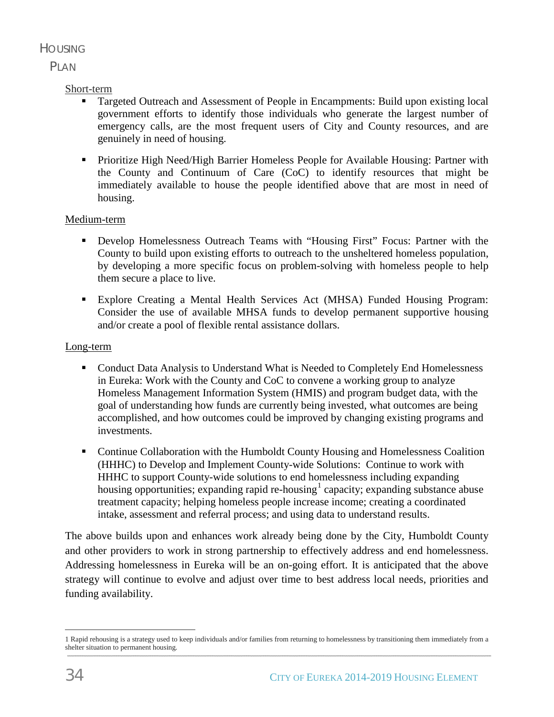# HOUSING

## PLAN.

## Short-term

- Targeted Outreach and Assessment of People in Encampments: Build upon existing local government efforts to identify those individuals who generate the largest number of emergency calls, are the most frequent users of City and County resources, and are genuinely in need of housing.
- **Prioritize High Need/High Barrier Homeless People for Available Housing: Partner with** the County and Continuum of Care (CoC) to identify resources that might be immediately available to house the people identified above that are most in need of housing.

### Medium-term

- Develop Homelessness Outreach Teams with "Housing First" Focus: Partner with the County to build upon existing efforts to outreach to the unsheltered homeless population, by developing a more specific focus on problem-solving with homeless people to help them secure a place to live.
- Explore Creating a Mental Health Services Act (MHSA) Funded Housing Program: Consider the use of available MHSA funds to develop permanent supportive housing and/or create a pool of flexible rental assistance dollars.

#### Long-term

- **Conduct Data Analysis to Understand What is Needed to Completely End Homelessness** in Eureka: Work with the County and CoC to convene a working group to analyze Homeless Management Information System (HMIS) and program budget data, with the goal of understanding how funds are currently being invested, what outcomes are being accomplished, and how outcomes could be improved by changing existing programs and investments.
- **Continue Collaboration with the Humboldt County Housing and Homelessness Coalition** (HHHC) to Develop and Implement County-wide Solutions: Continue to work with HHHC to support County-wide solutions to end homelessness including expanding housing opportunities; expanding rapid re-housing  $1$  capacity; expanding substance abuse treatment capacity; helping homeless people increase income; creating a coordinated intake, assessment and referral process; and using data to understand results.

The above builds upon and enhances work already being done by the City, Humboldt County and other providers to work in strong partnership to effectively address and end homelessness. Addressing homelessness in Eureka will be an on-going effort. It is anticipated that the above strategy will continue to evolve and adjust over time to best address local needs, priorities and funding availability.

 $\overline{a}$ 1 Rapid rehousing is a strategy used to keep individuals and/or families from returning to homelessness by transitioning them immediately from a shelter situation to permanent housing.